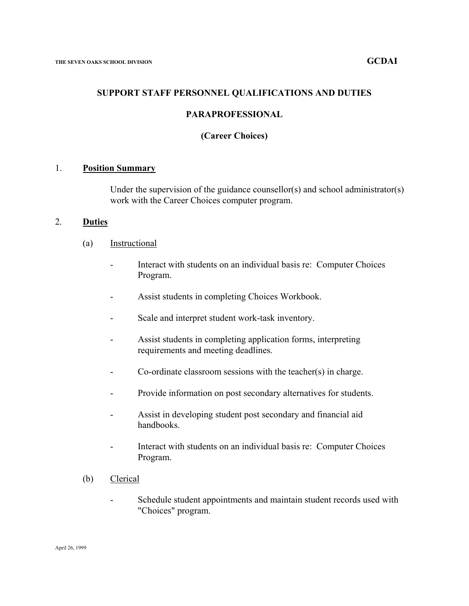## **SUPPORT STAFF PERSONNEL QUALIFICATIONS AND DUTIES**

## **PARAPROFESSIONAL**

## **(Career Choices)**

#### 1. **Position Summary**

Under the supervision of the guidance counsellor(s) and school administrator(s) work with the Career Choices computer program.

#### 2. **Duties**

- (a) Instructional
	- Interact with students on an individual basis re: Computer Choices Program.
	- Assist students in completing Choices Workbook.
	- Scale and interpret student work-task inventory.
	- Assist students in completing application forms, interpreting requirements and meeting deadlines.
	- Co-ordinate classroom sessions with the teacher(s) in charge.
	- Provide information on post secondary alternatives for students.
	- Assist in developing student post secondary and financial aid handbooks.
	- Interact with students on an individual basis re: Computer Choices Program.
- (b) Clerical
	- Schedule student appointments and maintain student records used with "Choices" program.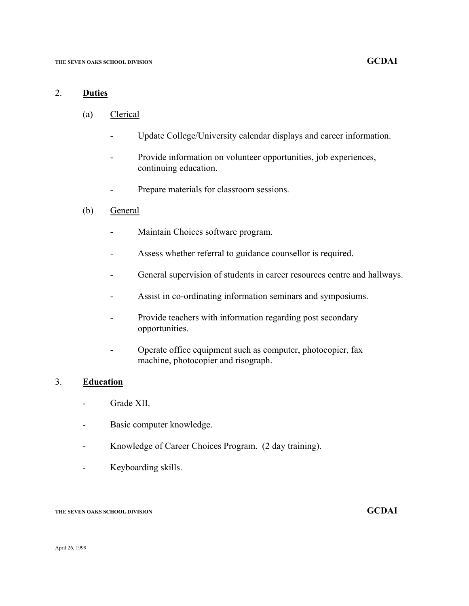# 2. **Duties**

- (a) Clerical
	- Update College/University calendar displays and career information.
	- Provide information on volunteer opportunities, job experiences, continuing education.
	- Prepare materials for classroom sessions.
- (b) General
	- Maintain Choices software program.
	- Assess whether referral to guidance counsellor is required.
	- General supervision of students in career resources centre and hallways.
	- Assist in co-ordinating information seminars and symposiums.
	- Provide teachers with information regarding post secondary opportunities.
	- Operate office equipment such as computer, photocopier, fax machine, photocopier and risograph.

# 3. **Education**

- Grade XII.
- Basic computer knowledge.
- Knowledge of Career Choices Program. (2 day training).
- Keyboarding skills.

## **THE SEVEN OAKS SCHOOL DIVISION GCDAI**